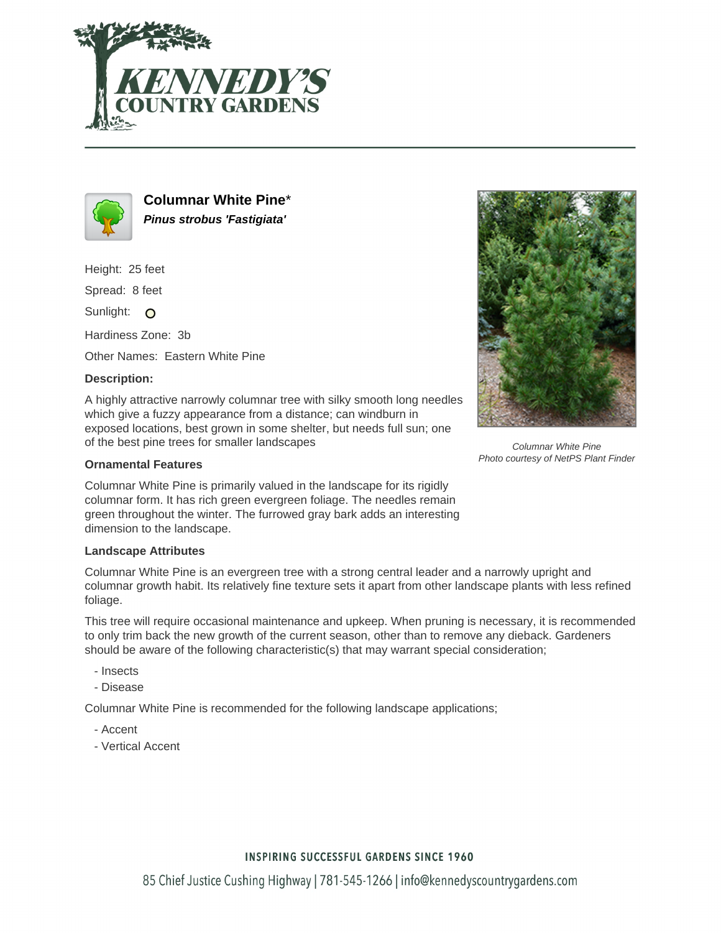



**Columnar White Pine**\* **Pinus strobus 'Fastigiata'**

Height: 25 feet

Spread: 8 feet

Sunlight: O

Hardiness Zone: 3b

Other Names: Eastern White Pine

### **Description:**

A highly attractive narrowly columnar tree with silky smooth long needles which give a fuzzy appearance from a distance; can windburn in exposed locations, best grown in some shelter, but needs full sun; one of the best pine trees for smaller landscapes

#### **Ornamental Features**

Columnar White Pine is primarily valued in the landscape for its rigidly columnar form. It has rich green evergreen foliage. The needles remain green throughout the winter. The furrowed gray bark adds an interesting dimension to the landscape.

#### **Landscape Attributes**

Columnar White Pine is an evergreen tree with a strong central leader and a narrowly upright and columnar growth habit. Its relatively fine texture sets it apart from other landscape plants with less refined foliage.

This tree will require occasional maintenance and upkeep. When pruning is necessary, it is recommended to only trim back the new growth of the current season, other than to remove any dieback. Gardeners should be aware of the following characteristic(s) that may warrant special consideration;

- Insects
- Disease

Columnar White Pine is recommended for the following landscape applications;

- Accent
- Vertical Accent



Columnar White Pine Photo courtesy of NetPS Plant Finder

## **INSPIRING SUCCESSFUL GARDENS SINCE 1960**

85 Chief Justice Cushing Highway | 781-545-1266 | info@kennedyscountrygardens.com